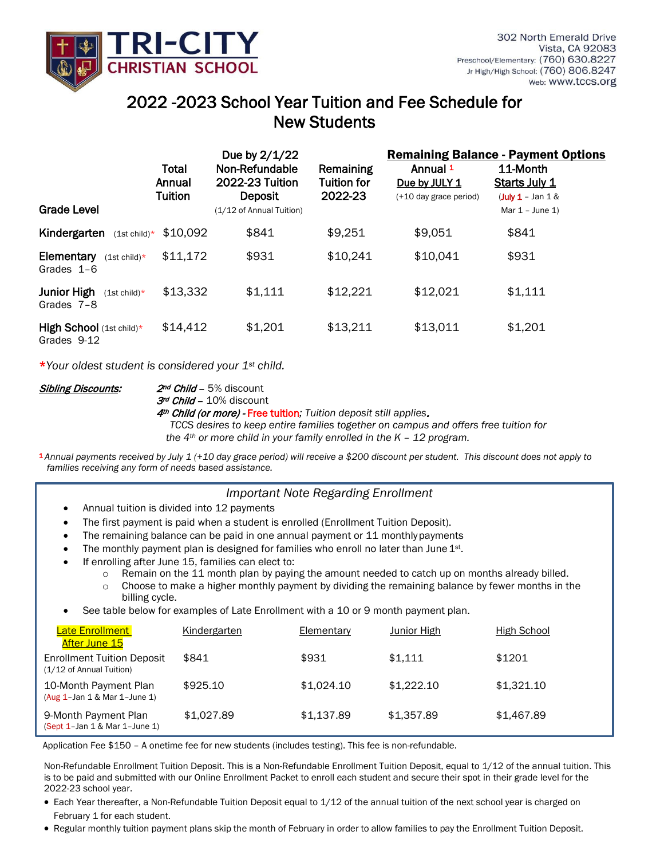

## web: WWW.tccs.org<br>2022 -2023 School Year Tuition and Fee Schedule for New Students

|                                              |                                   | Due by 2/1/22                                       |                                            | <b>Remaining Balance - Payment Options</b>          |                                                   |  |
|----------------------------------------------|-----------------------------------|-----------------------------------------------------|--------------------------------------------|-----------------------------------------------------|---------------------------------------------------|--|
|                                              | Total<br>Annual<br><b>Tuition</b> | Non-Refundable<br>2022-23 Tuition<br><b>Deposit</b> | Remaining<br><b>Tuition for</b><br>2022-23 | Annual 1<br>Due by JULY 1<br>(+10 day grace period) | 11-Month<br>Starts July 1<br>$($ July 1 - Jan 1 & |  |
| <b>Grade Level</b>                           |                                   | (1/12 of Annual Tuition)                            |                                            |                                                     | Mar $1 -$ June 1)                                 |  |
| Kindergarten<br>$(1st \text{ child})*$       | \$10.092                          | \$841                                               | \$9,251                                    | \$9,051                                             | \$841                                             |  |
| Elementary<br>$(1st child)*$<br>Grades $1-6$ | \$11,172                          | \$931                                               | \$10,241                                   | \$10,041                                            | \$931                                             |  |
| Junior High<br>$(1st child)*$<br>Grades 7-8  | \$13,332                          | \$1,111                                             | \$12,221                                   | \$12,021                                            | \$1,111                                           |  |
| High School (1st child)*<br>Grades 9-12      | \$14,412                          | \$1,201                                             | \$13,211                                   | \$13,011                                            | \$1,201                                           |  |

\**Your oldest student is considered your 1st child.*

l

**Sibling Discounts: 2nd Child - 5% discount** 

3rd Child - 10% discount

4th Child (or more) - Free tuition*; Tuition deposit still applies*.

 *TCCS desires to keep entire families together on campus and offers free tuition for the 4th or more child in your family enrolled in the K – 12 program.*

<sup>1</sup>*Annual payments received by July 1 (+10 day grace period) will receive a \$200 discount per student. This discount does not apply to families receiving any form of needs based assistance.*

## *Important Note Regarding Enrollment*

- Annual tuition is divided into 12 payments
- The first payment is paid when a student is enrolled (Enrollment Tuition Deposit).
- The remaining balance can be paid in one annual payment or 11 monthly payments
- The monthly payment plan is designed for families who enroll no later than June 1st.
- If enrolling after June 15, families can elect to:
	- o Remain on the 11 month plan by paying the amount needed to catch up on months already billed.
	- $\circ$  Choose to make a higher monthly payment by dividing the remaining balance by fewer months in the billing cycle.
- See table below for examples of Late Enrollment with a 10 or 9 month payment plan.

| <b>Late Enrollment</b><br><u>After June 15</u>                | Kindergarten | Elementary | Junior High | High School |
|---------------------------------------------------------------|--------------|------------|-------------|-------------|
| <b>Enrollment Tuition Deposit</b><br>(1/12 of Annual Tuition) | \$841        | \$931      | \$1.111     | \$1201      |
| 10-Month Payment Plan<br>$(Aug 1-Jan 1 & Mar 1-June 1)$       | \$925.10     | \$1.024.10 | \$1.222.10  | \$1,321.10  |
| 9-Month Payment Plan<br>(Sept 1-Jan 1 & Mar 1-June 1)         | \$1,027.89   | \$1,137.89 | \$1,357.89  | \$1,467.89  |

Application Fee \$150 – A onetime fee for new students (includes testing). This fee is non-refundable.

Non-Refundable Enrollment Tuition Deposit. This is a Non-Refundable Enrollment Tuition Deposit, equal to 1/12 of the annual tuition. This is to be paid and submitted with our Online Enrollment Packet to enroll each student and secure their spot in their grade level for the 2022-23 school year.

- Each Year thereafter, a Non-Refundable Tuition Deposit equal to 1/12 of the annual tuition of the next school year is charged on February 1 for each student.
- Regular monthly tuition payment plans skip the month of February in order to allow families to pay the Enrollment Tuition Deposit.